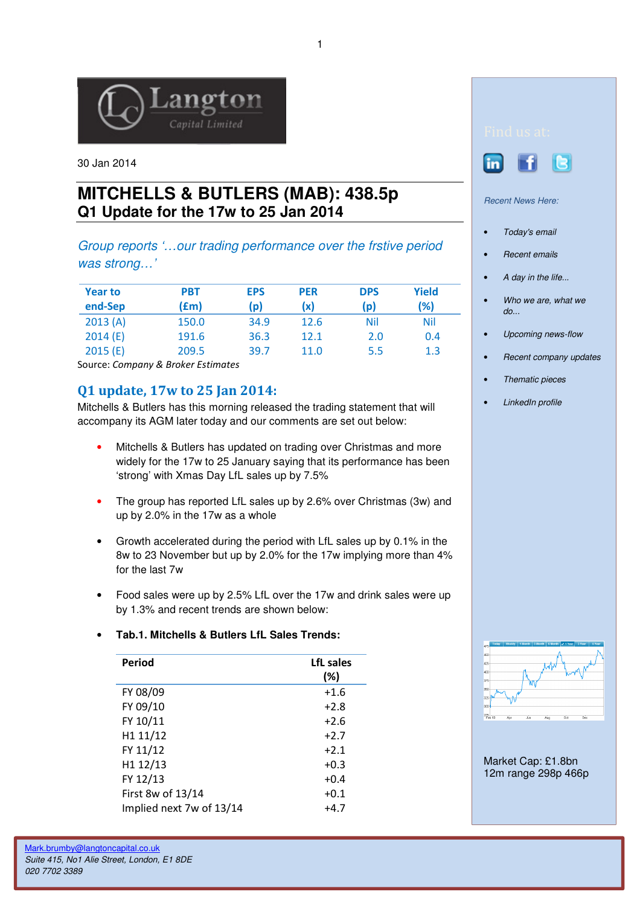

30 Jan 2014

## **MITCHELLS & BUTLERS (MAB): 438.5p Q1 Update for the 17w to 25 Jan 2014**

Group reports '…our trading performance over the frstive period was strong…'

| <b>Year to</b> | <b>PBT</b> | <b>EPS</b> | <b>PER</b> | <b>DPS</b> | <b>Yield</b> |
|----------------|------------|------------|------------|------------|--------------|
| end-Sep        | (£m)       | (p)        | (x)        | (p)        | (%)          |
| 2013(A)        | 150.0      | 34.9       | 12.6       | Nil        | <b>Nil</b>   |
| 2014(E)        | 191.6      | 36.3       | 12.1       | 2.0        | 0.4          |
| 2015(E)        | 209.5      | 39.7       | 11.0       | 5.5        | 1.3          |

Source: Company & Broker Estimates

## Q1 update, 17w to 25 Jan 2014:

Mitchells & Butlers has this morning released the trading statement that will accompany its AGM later today and our comments are set out below:

- Mitchells & Butlers has updated on trading over Christmas and more widely for the 17w to 25 January saying that its performance has been 'strong' with Xmas Day LfL sales up by 7.5%
- The group has reported LfL sales up by 2.6% over Christmas (3w) and up by 2.0% in the 17w as a whole
- Growth accelerated during the period with LfL sales up by 0.1% in the 8w to 23 November but up by 2.0% for the 17w implying more than 4% for the last 7w
- Food sales were up by 2.5% LfL over the 17w and drink sales were up by 1.3% and recent trends are shown below:

## • **Tab.1. Mitchells & Butlers LfL Sales Trends:**

| LfL sales<br>$(\%)$ |
|---------------------|
| $+1.6$              |
| $+2.8$              |
| $+2.6$              |
| $+2.7$              |
| $+2.1$              |
| $+0.3$              |
| $+0.4$              |
| $+0.1$              |
| $+4.7$              |
|                     |





Recent News Here:

- Today's email
- Recent emails
- A day in the life...
- Who we are, what we do...
- Upcoming news-flow
- Recent company updates
- Thematic pieces
- LinkedIn profile



Market Cap: £1.8bn 12m range 298p 466p